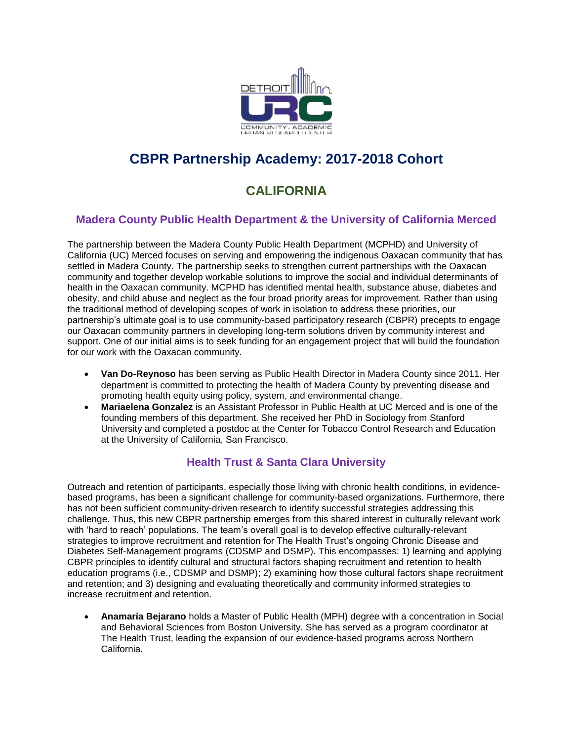

# **CBPR Partnership Academy: 2017-2018 Cohort**

# **CALIFORNIA**

### **Madera County Public Health Department & the University of California Merced**

The partnership between the Madera County Public Health Department (MCPHD) and University of California (UC) Merced focuses on serving and empowering the indigenous Oaxacan community that has settled in Madera County. The partnership seeks to strengthen current partnerships with the Oaxacan community and together develop workable solutions to improve the social and individual determinants of health in the Oaxacan community. MCPHD has identified mental health, substance abuse, diabetes and obesity, and child abuse and neglect as the four broad priority areas for improvement. Rather than using the traditional method of developing scopes of work in isolation to address these priorities, our partnership's ultimate goal is to use community-based participatory research (CBPR) precepts to engage our Oaxacan community partners in developing long-term solutions driven by community interest and support. One of our initial aims is to seek funding for an engagement project that will build the foundation for our work with the Oaxacan community.

- **Van Do-Reynoso** has been serving as Public Health Director in Madera County since 2011. Her department is committed to protecting the health of Madera County by preventing disease and promoting health equity using policy, system, and environmental change.
- **Mariaelena Gonzalez** is an Assistant Professor in Public Health at UC Merced and is one of the founding members of this department. She received her PhD in Sociology from Stanford University and completed a postdoc at the Center for Tobacco Control Research and Education at the University of California, San Francisco.

#### **Health Trust & Santa Clara University**

Outreach and retention of participants, especially those living with chronic health conditions, in evidencebased programs, has been a significant challenge for community-based organizations. Furthermore, there has not been sufficient community-driven research to identify successful strategies addressing this challenge. Thus, this new CBPR partnership emerges from this shared interest in culturally relevant work with 'hard to reach' populations. The team's overall goal is to develop effective culturally-relevant strategies to improve recruitment and retention for The Health Trust's ongoing Chronic Disease and Diabetes Self-Management programs (CDSMP and DSMP). This encompasses: 1) learning and applying CBPR principles to identify cultural and structural factors shaping recruitment and retention to health education programs (i.e., CDSMP and DSMP); 2) examining how those cultural factors shape recruitment and retention; and 3) designing and evaluating theoretically and community informed strategies to increase recruitment and retention.

 **Anamaría Bejarano** holds a Master of Public Health (MPH) degree with a concentration in Social and Behavioral Sciences from Boston University. She has served as a program coordinator at The Health Trust, leading the expansion of our evidence-based programs across Northern California.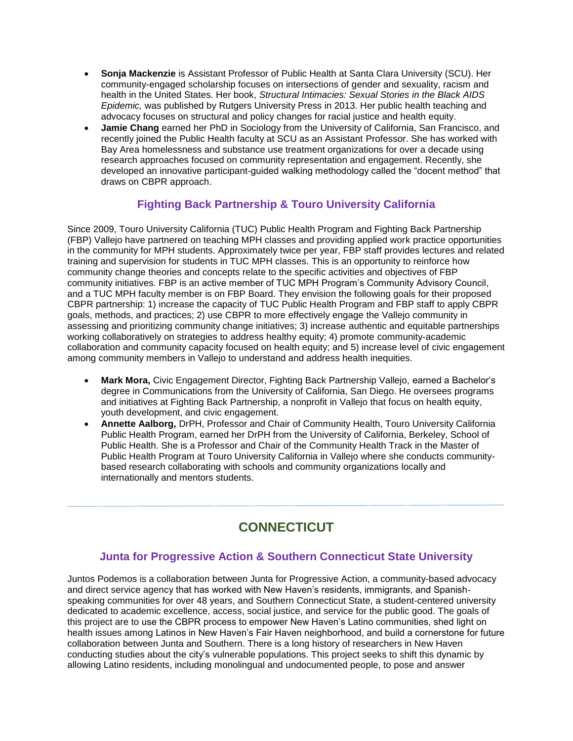- **Sonja Mackenzie** is Assistant Professor of Public Health at Santa Clara University (SCU). Her community-engaged scholarship focuses on intersections of gender and sexuality, racism and health in the United States. Her book, *Structural Intimacies: Sexual Stories in the Black AIDS Epidemic,* was published by Rutgers University Press in 2013. Her public health teaching and advocacy focuses on structural and policy changes for racial justice and health equity.
- **Jamie Chang** earned her PhD in Sociology from the University of California, San Francisco, and recently joined the Public Health faculty at SCU as an Assistant Professor. She has worked with Bay Area homelessness and substance use treatment organizations for over a decade using research approaches focused on community representation and engagement. Recently, she developed an innovative participant-guided walking methodology called the "docent method" that draws on CBPR approach.

### **Fighting Back Partnership & Touro University California**

Since 2009, Touro University California (TUC) Public Health Program and Fighting Back Partnership (FBP) Vallejo have partnered on teaching MPH classes and providing applied work practice opportunities in the community for MPH students. Approximately twice per year, FBP staff provides lectures and related training and supervision for students in TUC MPH classes. This is an opportunity to reinforce how community change theories and concepts relate to the specific activities and objectives of FBP community initiatives. FBP is an active member of TUC MPH Program's Community Advisory Council, and a TUC MPH faculty member is on FBP Board. They envision the following goals for their proposed CBPR partnership: 1) increase the capacity of TUC Public Health Program and FBP staff to apply CBPR goals, methods, and practices; 2) use CBPR to more effectively engage the Vallejo community in assessing and prioritizing community change initiatives; 3) increase authentic and equitable partnerships working collaboratively on strategies to address healthy equity; 4) promote community-academic collaboration and community capacity focused on health equity; and 5) increase level of civic engagement among community members in Vallejo to understand and address health inequities.

- **Mark Mora,** Civic Engagement Director, Fighting Back Partnership Vallejo, earned a Bachelor's degree in Communications from the University of California, San Diego. He oversees programs and initiatives at Fighting Back Partnership, a nonprofit in Vallejo that focus on health equity, youth development, and civic engagement.
- **Annette Aalborg,** DrPH, Professor and Chair of Community Health, Touro University California Public Health Program, earned her DrPH from the University of California, Berkeley, School of Public Health. She is a Professor and Chair of the Community Health Track in the Master of Public Health Program at Touro University California in Vallejo where she conducts communitybased research collaborating with schools and community organizations locally and internationally and mentors students.

# **CONNECTICUT**

#### **Junta for Progressive Action & Southern Connecticut State University**

Juntos Podemos is a collaboration between Junta for Progressive Action, a community-based advocacy and direct service agency that has worked with New Haven's residents, immigrants, and Spanishspeaking communities for over 48 years, and Southern Connecticut State, a student-centered university dedicated to academic excellence, access, social justice, and service for the public good. The goals of this project are to use the CBPR process to empower New Haven's Latino communities, shed light on health issues among Latinos in New Haven's Fair Haven neighborhood, and build a cornerstone for future collaboration between Junta and Southern. There is a long history of researchers in New Haven conducting studies about the city's vulnerable populations. This project seeks to shift this dynamic by allowing Latino residents, including monolingual and undocumented people, to pose and answer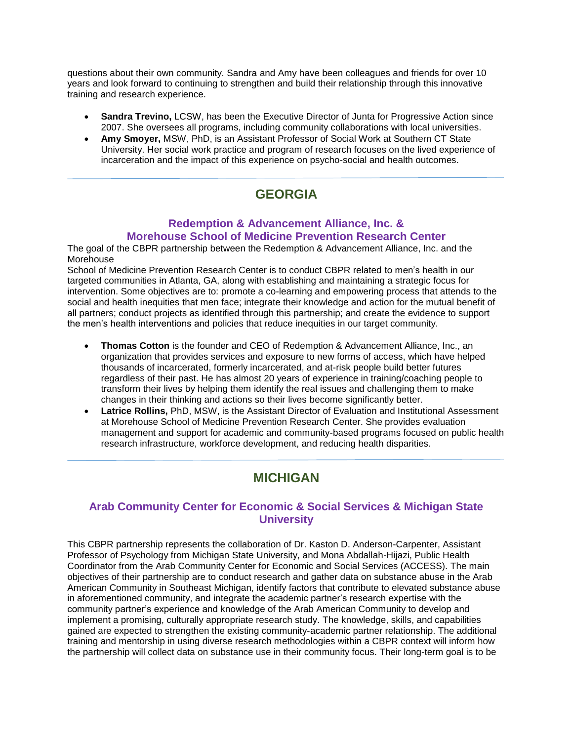questions about their own community. Sandra and Amy have been colleagues and friends for over 10 years and look forward to continuing to strengthen and build their relationship through this innovative training and research experience.

- **Sandra Trevino,** LCSW, has been the Executive Director of Junta for Progressive Action since 2007. She oversees all programs, including community collaborations with local universities.
- **Amy Smoyer,** MSW, PhD, is an Assistant Professor of Social Work at Southern CT State University. Her social work practice and program of research focuses on the lived experience of incarceration and the impact of this experience on psycho-social and health outcomes.

# **GEORGIA**

### **Redemption & Advancement Alliance, Inc. & Morehouse School of Medicine Prevention Research Center**

The goal of the CBPR partnership between the Redemption & Advancement Alliance, Inc. and the Morehouse

School of Medicine Prevention Research Center is to conduct CBPR related to men's health in our targeted communities in Atlanta, GA, along with establishing and maintaining a strategic focus for intervention. Some objectives are to: promote a co-learning and empowering process that attends to the social and health inequities that men face; integrate their knowledge and action for the mutual benefit of all partners; conduct projects as identified through this partnership; and create the evidence to support the men's health interventions and policies that reduce inequities in our target community.

- **Thomas Cotton** is the founder and CEO of Redemption & Advancement Alliance, Inc., an organization that provides services and exposure to new forms of access, which have helped thousands of incarcerated, formerly incarcerated, and at-risk people build better futures regardless of their past. He has almost 20 years of experience in training/coaching people to transform their lives by helping them identify the real issues and challenging them to make changes in their thinking and actions so their lives become significantly better.
- **Latrice Rollins,** PhD, MSW, is the Assistant Director of Evaluation and Institutional Assessment at Morehouse School of Medicine Prevention Research Center. She provides evaluation management and support for academic and community-based programs focused on public health research infrastructure, workforce development, and reducing health disparities.

# **MICHIGAN**

### **Arab Community Center for Economic & Social Services & Michigan State University**

This CBPR partnership represents the collaboration of Dr. Kaston D. Anderson-Carpenter, Assistant Professor of Psychology from Michigan State University, and Mona Abdallah-Hijazi, Public Health Coordinator from the Arab Community Center for Economic and Social Services (ACCESS). The main objectives of their partnership are to conduct research and gather data on substance abuse in the Arab American Community in Southeast Michigan, identify factors that contribute to elevated substance abuse in aforementioned community, and integrate the academic partner's research expertise with the community partner's experience and knowledge of the Arab American Community to develop and implement a promising, culturally appropriate research study. The knowledge, skills, and capabilities gained are expected to strengthen the existing community-academic partner relationship. The additional training and mentorship in using diverse research methodologies within a CBPR context will inform how the partnership will collect data on substance use in their community focus. Their long-term goal is to be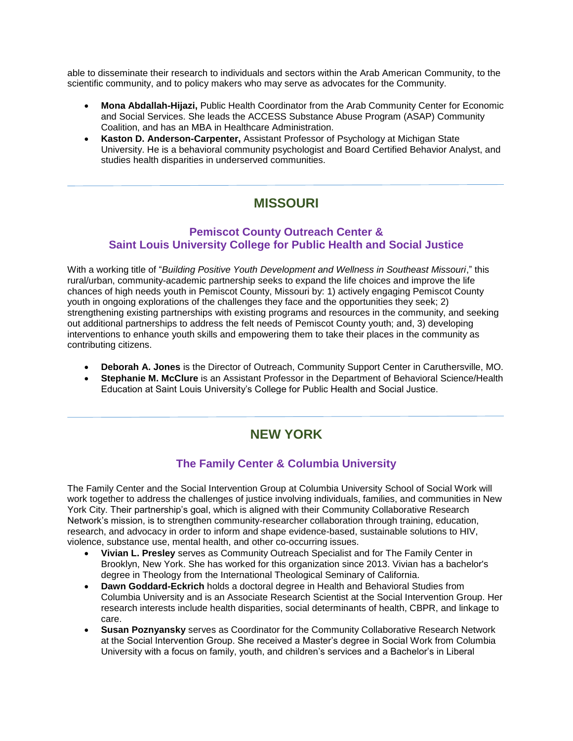able to disseminate their research to individuals and sectors within the Arab American Community, to the scientific community, and to policy makers who may serve as advocates for the Community.

- **Mona Abdallah-Hijazi,** Public Health Coordinator from the Arab Community Center for Economic and Social Services. She leads the ACCESS Substance Abuse Program (ASAP) Community Coalition, and has an MBA in Healthcare Administration.
- **Kaston D. Anderson-Carpenter,** Assistant Professor of Psychology at Michigan State University. He is a behavioral community psychologist and Board Certified Behavior Analyst, and studies health disparities in underserved communities.

# **MISSOURI**

#### **Pemiscot County Outreach Center & Saint Louis University College for Public Health and Social Justice**

With a working title of "*Building Positive Youth Development and Wellness in Southeast Missouri*," this rural/urban, community-academic partnership seeks to expand the life choices and improve the life chances of high needs youth in Pemiscot County, Missouri by: 1) actively engaging Pemiscot County youth in ongoing explorations of the challenges they face and the opportunities they seek; 2) strengthening existing partnerships with existing programs and resources in the community, and seeking out additional partnerships to address the felt needs of Pemiscot County youth; and, 3) developing interventions to enhance youth skills and empowering them to take their places in the community as contributing citizens.

- **Deborah A. Jones** is the Director of Outreach, Community Support Center in Caruthersville, MO.
- **Stephanie M. McClure** is an Assistant Professor in the Department of Behavioral Science/Health Education at Saint Louis University's College for Public Health and Social Justice.

### **NEW YORK**

#### **The Family Center & Columbia University**

The Family Center and the Social Intervention Group at Columbia University School of Social Work will work together to address the challenges of justice involving individuals, families, and communities in New York City. Their partnership's goal, which is aligned with their Community Collaborative Research Network's mission, is to strengthen community-researcher collaboration through training, education, research, and advocacy in order to inform and shape evidence-based, sustainable solutions to HIV, violence, substance use, mental health, and other co-occurring issues.

- **Vivian L. Presley** serves as Community Outreach Specialist and for The Family Center in Brooklyn, New York. She has worked for this organization since 2013. Vivian has a bachelor's degree in Theology from the International Theological Seminary of California.
- **Dawn Goddard-Eckrich** holds a doctoral degree in Health and Behavioral Studies from Columbia University and is an Associate Research Scientist at the Social Intervention Group. Her research interests include health disparities, social determinants of health, CBPR, and linkage to care.
- **Susan Poznyansky** serves as Coordinator for the Community Collaborative Research Network at the Social Intervention Group. She received a Master's degree in Social Work from Columbia University with a focus on family, youth, and children's services and a Bachelor's in Liberal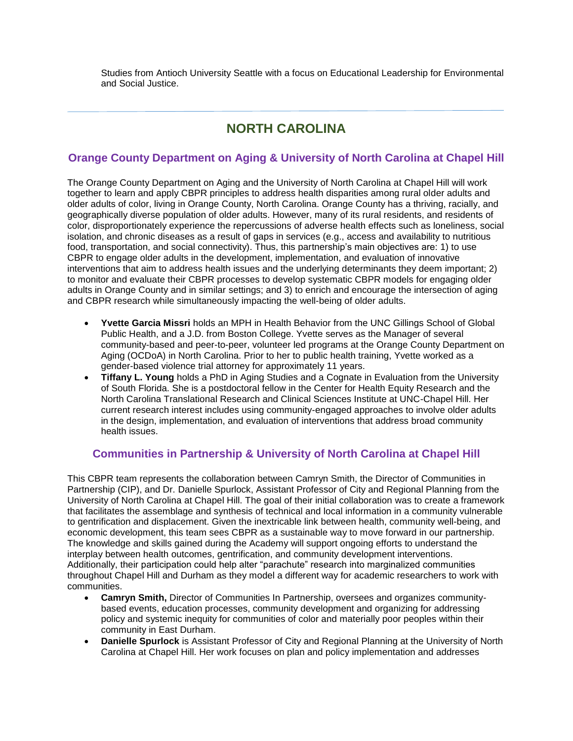Studies from Antioch University Seattle with a focus on Educational Leadership for Environmental and Social Justice.

### **NORTH CAROLINA**

### **Orange County Department on Aging & University of North Carolina at Chapel Hill**

The Orange County Department on Aging and the University of North Carolina at Chapel Hill will work together to learn and apply CBPR principles to address health disparities among rural older adults and older adults of color, living in Orange County, North Carolina. Orange County has a thriving, racially, and geographically diverse population of older adults. However, many of its rural residents, and residents of color, disproportionately experience the repercussions of adverse health effects such as loneliness, social isolation, and chronic diseases as a result of gaps in services (e.g., access and availability to nutritious food, transportation, and social connectivity). Thus, this partnership's main objectives are: 1) to use CBPR to engage older adults in the development, implementation, and evaluation of innovative interventions that aim to address health issues and the underlying determinants they deem important; 2) to monitor and evaluate their CBPR processes to develop systematic CBPR models for engaging older adults in Orange County and in similar settings; and 3) to enrich and encourage the intersection of aging and CBPR research while simultaneously impacting the well-being of older adults.

- **Yvette Garcia Missri** holds an MPH in Health Behavior from the UNC Gillings School of Global Public Health, and a J.D. from Boston College. Yvette serves as the Manager of several community-based and peer-to-peer, volunteer led programs at the Orange County Department on Aging (OCDoA) in North Carolina. Prior to her to public health training, Yvette worked as a gender-based violence trial attorney for approximately 11 years.
- **Tiffany L. Young** holds a PhD in Aging Studies and a Cognate in Evaluation from the University of South Florida. She is a postdoctoral fellow in the Center for Health Equity Research and the North Carolina Translational Research and Clinical Sciences Institute at UNC-Chapel Hill. Her current research interest includes using community-engaged approaches to involve older adults in the design, implementation, and evaluation of interventions that address broad community health issues.

#### **Communities in Partnership & University of North Carolina at Chapel Hill**

This CBPR team represents the collaboration between Camryn Smith, the Director of Communities in Partnership (CIP), and Dr. Danielle Spurlock, Assistant Professor of City and Regional Planning from the University of North Carolina at Chapel Hill. The goal of their initial collaboration was to create a framework that facilitates the assemblage and synthesis of technical and local information in a community vulnerable to gentrification and displacement. Given the inextricable link between health, community well-being, and economic development, this team sees CBPR as a sustainable way to move forward in our partnership. The knowledge and skills gained during the Academy will support ongoing efforts to understand the interplay between health outcomes, gentrification, and community development interventions. Additionally, their participation could help alter "parachute" research into marginalized communities throughout Chapel Hill and Durham as they model a different way for academic researchers to work with communities.

- **Camryn Smith,** Director of Communities In Partnership, oversees and organizes communitybased events, education processes, community development and organizing for addressing policy and systemic inequity for communities of color and materially poor peoples within their community in East Durham.
- **Danielle Spurlock** is Assistant Professor of City and Regional Planning at the University of North Carolina at Chapel Hill. Her work focuses on plan and policy implementation and addresses